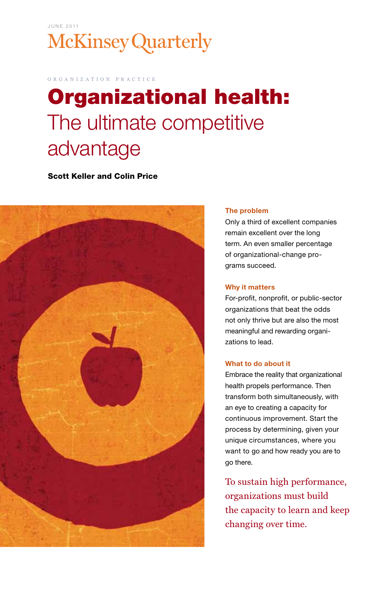## J U N E 2 0 11 **McKinsey Quarterly**

o r g a n i z a t i o n p r a c t i c e

# Organizational health: The ultimate competitive advantage

Scott Keller and Colin Price



#### The problem

Only a third of excellent companies remain excellent over the long term. An even smaller percentage of organizational-change programs succeed.

#### Why it matters

For-profit, nonprofit, or public-sector organizations that beat the odds not only thrive but are also the most meaningful and rewarding organizations to lead.

#### What to do about it

Embrace the reality that organizational health propels performance. Then transform both simultaneously, with an eye to creating a capacity for continuous improvement. Start the process by determining, given your unique circumstances, where you want to go and how ready you are to go there.

To sustain high performance, organizations must build the capacity to learn and keep changing over time.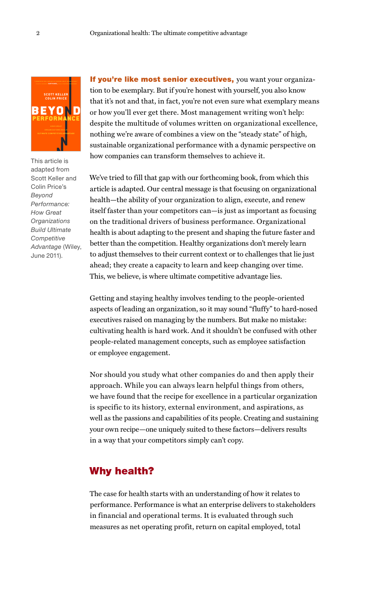

This article is adapted from Scott Keller and Colin Price's *Beyond Performance: How Great Organizations Build Ultimate Competitive Advantage* (Wiley, June 2011).

If you're like most senior executives, you want your organization to be exemplary. But if you're honest with yourself, you also know that it's not and that, in fact, you're not even sure what exemplary means or how you'll ever get there. Most management writing won't help: despite the multitude of volumes written on organizational excellence, nothing we're aware of combines a view on the "steady state" of high, sustainable organizational performance with a dynamic perspective on how companies can transform themselves to achieve it.

We've tried to fill that gap with our forthcoming book, from which this article is adapted. Our central message is that focusing on organizational health—the ability of your organization to align, execute, and renew itself faster than your competitors can—is just as important as focusing on the traditional drivers of business performance. Organizational health is about adapting to the present and shaping the future faster and better than the competition. Healthy organizations don't merely learn to adjust themselves to their current context or to challenges that lie just ahead; they create a capacity to learn and keep changing over time. This, we believe, is where ultimate competitive advantage lies.

Getting and staying healthy involves tending to the people-oriented aspects of leading an organization, so it may sound "fluffy" to hard-nosed executives raised on managing by the numbers. But make no mistake: cultivating health is hard work. And it shouldn't be confused with other people-related management concepts, such as employee satisfaction or employee engagement.

Nor should you study what other companies do and then apply their approach. While you can always learn helpful things from others, we have found that the recipe for excellence in a particular organization is specific to its history, external environment, and aspirations, as well as the passions and capabilities of its people. Creating and sustaining your own recipe—one uniquely suited to these factors—delivers results in a way that your competitors simply can't copy.

#### Why health?

The case for health starts with an understanding of how it relates to performance. Performance is what an enterprise delivers to stakeholders in financial and operational terms. It is evaluated through such measures as net operating profit, return on capital employed, total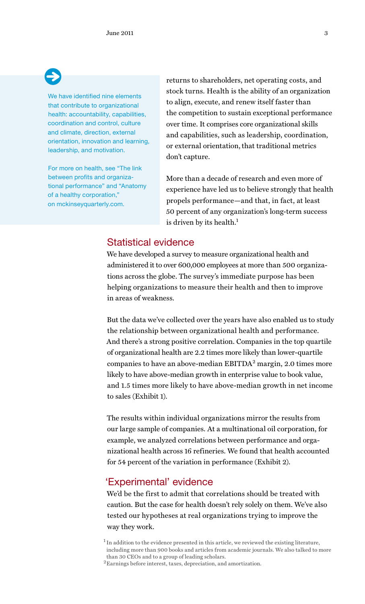We have identified nine elements that contribute to organizational health: accountability, capabilities, coordination and control, culture and climate, direction, external orientation, innovation and learning, leadership, and motivation.

For more on health, see "The link between profits and organizational performance" and "Anatomy of a healthy corporation," on mckinseyquarterly.com.

returns to shareholders, net operating costs, and stock turns. Health is the ability of an organization to align, execute, and renew itself faster than the competition to sustain exceptional performance over time. It comprises core organizational skills and capabilities, such as leadership, coordination, or external orientation, that traditional metrics don't capture.

More than a decade of research and even more of experience have led us to believe strongly that health propels performance—and that, in fact, at least 50 percent of any organization's long-term success is driven by its health.<sup>1</sup>

### Statistical evidence

We have developed a survey to measure organizational health and administered it to over 600,000 employees at more than 500 organizations across the globe. The survey's immediate purpose has been helping organizations to measure their health and then to improve in areas of weakness.

But the data we've collected over the years have also enabled us to study the relationship between organizational health and performance. And there's a strong positive correlation. Companies in the top quartile of organizational health are 2.2 times more likely than lower-quartile companies to have an above-median  $EBITDA<sup>2</sup>$  margin, 2.0 times more likely to have above-median growth in enterprise value to book value, and 1.5 times more likely to have above-median growth in net income to sales (Exhibit 1).

The results within individual organizations mirror the results from our large sample of companies. At a multinational oil corporation, for example, we analyzed correlations between performance and organizational health across 16 refineries. We found that health accounted for 54 percent of the variation in performance (Exhibit 2).

#### 'Experimental' evidence

We'd be the first to admit that correlations should be treated with caution. But the case for health doesn't rely solely on them. We've also tested our hypotheses at real organizations trying to improve the way they work.

 $^{\rm 1}$  In addition to the evidence presented in this article, we reviewed the existing literature, including more than 900 books and articles from academic journals. We also talked to more than 30 CEOs and to a group of leading scholars.

 ${\rm ^2Earnings}$  before interest, taxes, depreciation, and amortization.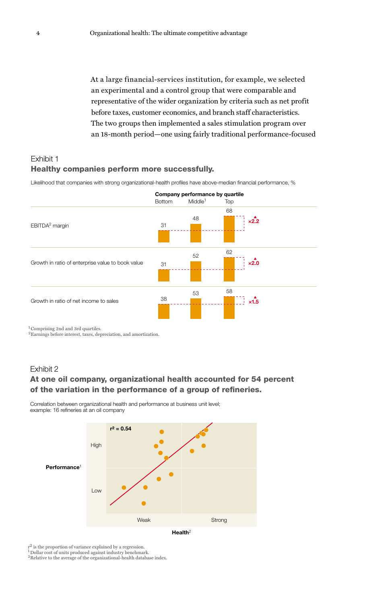representative of the wider organization by criteria such as net profit before taxes, customer economics, and branch staff characteristics. At a large financial-services institution, for example, we selected an experimental and a control group that were comparable and The two groups then implemented a sales stimulation program over an 18-month period—one using fairly traditional performance-focused

### Exhibit 1 Healthy companies perform more successfully.

Likelihood that companies with strong organizational-health profiles have above-median financial performance, %



 ${}^{2}$ Earnings before interest, taxes, depreciation, and amortization.

#### Exhibit 2

#### At one oil company, organizational health accounted for 54 percent of the variation in the performance of a group of refineries.

Correlation between organizational health and performance at business unit level; example: 16 refineries at an oil company



 $r^2$  is the proportion of variance explained by a regression.

 $^1$  Dollar cost of units produced against industry benchmark.  $^2$  Relative to the average of the organizational-health database index.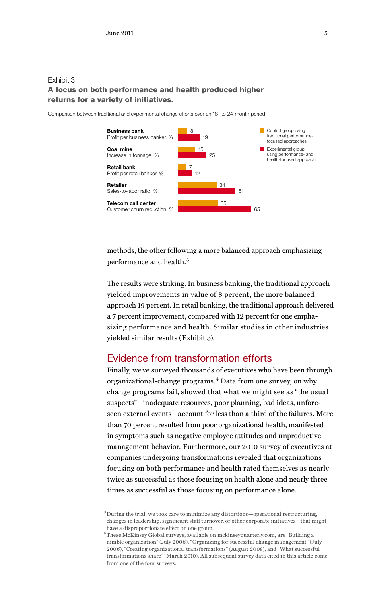#### Exhibit 3 A focus on both performance and health produced higher returns for a variety of initiatives.

Comparison between traditional and experimental change efforts over an 18- to 24-month period



methods, the other following a more balanced approach emphasizing performance and health.<sup>3</sup>

The results were striking. In business banking, the traditional approach yielded improvements in value of 8 percent, the more balanced approach 19 percent. In retail banking, the traditional approach delivered a 7 percent improvement, compared with 12 percent for one emphasizing performance and health. Similar studies in other industries yielded similar results (Exhibit 3).

## Evidence from transformation efforts

Finally, we've surveyed thousands of executives who have been through organizational-change programs.<sup>4</sup> Data from one survey, on why change programs fail, showed that what we might see as "the usual suspects"—inadequate resources, poor planning, bad ideas, unforeseen external events—account for less than a third of the failures. More than 70 percent resulted from poor organizational health, manifested in symptoms such as negative employee attitudes and unproductive management behavior. Furthermore, our 2010 survey of executives at companies undergoing transformations revealed that organizations focusing on both performance and health rated themselves as nearly twice as successful as those focusing on health alone and nearly three times as successful as those focusing on performance alone.

 $3$  During the trial, we took care to minimize any distortions—operational restructuring, changes in leadership, significant staff turnover, or other corporate initiatives—that might have a disproportionate effect on one group.

<sup>4</sup> These McKinsey Global surveys, available on mckinseyquarterly.com, are "Building a nimble organization" (July 2006), "Organizing for successful change management" (July 2006), "Creating organizational transformations" (August 2008), and "What successful transformations share" (March 2010). All subsequent survey data cited in this article come from one of the four surveys.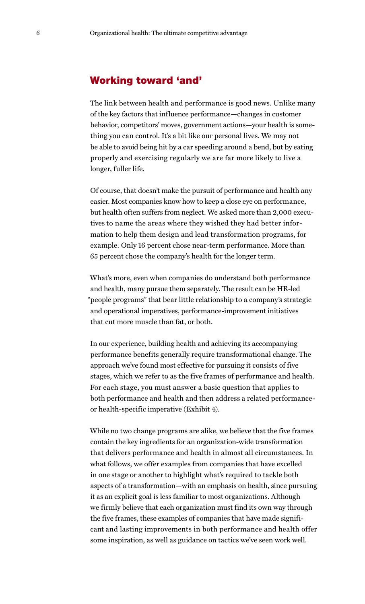#### Working toward 'and'

The link between health and performance is good news. Unlike many of the key factors that influence performance—changes in customer behavior, competitors' moves, government actions—your health is something you can control. It's a bit like our personal lives. We may not be able to avoid being hit by a car speeding around a bend, but by eating properly and exercising regularly we are far more likely to live a longer, fuller life.

Of course, that doesn't make the pursuit of performance and health any easier. Most companies know how to keep a close eye on performance, but health often suffers from neglect. We asked more than 2,000 executives to name the areas where they wished they had better information to help them design and lead transformation programs, for example. Only 16 percent chose near-term performance. More than 65 percent chose the company's health for the longer term.

What's more, even when companies do understand both performance and health, many pursue them separately. The result can be HR-led "people programs" that bear little relationship to a company's strategic and operational imperatives, performance-improvement initiatives that cut more muscle than fat, or both.

In our experience, building health and achieving its accompanying performance benefits generally require transformational change. The approach we've found most effective for pursuing it consists of five stages, which we refer to as the five frames of performance and health. For each stage, you must answer a basic question that applies to both performance and health and then address a related performanceor health-specific imperative (Exhibit 4).

While no two change programs are alike, we believe that the five frames contain the key ingredients for an organization-wide transformation that delivers performance and health in almost all circumstances. In what follows, we offer examples from companies that have excelled in one stage or another to highlight what's required to tackle both aspects of a transformation—with an emphasis on health, since pursuing it as an explicit goal is less familiar to most organizations. Although we firmly believe that each organization must find its own way through the five frames, these examples of companies that have made significant and lasting improvements in both performance and health offer some inspiration, as well as guidance on tactics we've seen work well.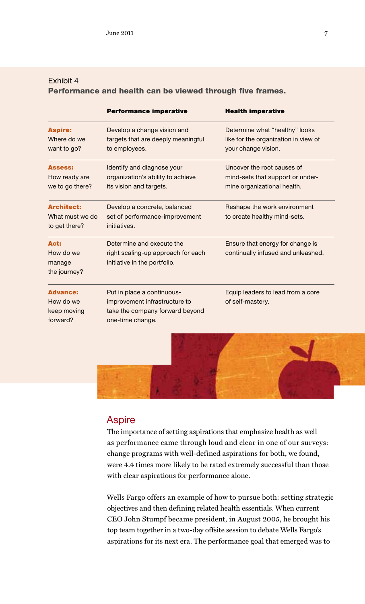#### Exhibit 4 Performance and health can be viewed through five frames.

| <b>Performance imperative</b>                                                                                      | <b>Health imperative</b>                                                                      |
|--------------------------------------------------------------------------------------------------------------------|-----------------------------------------------------------------------------------------------|
| Develop a change vision and<br>targets that are deeply meaningful<br>to employees.                                 | Determine what "healthy" looks<br>like for the organization in view of<br>your change vision. |
| Identify and diagnose your<br>organization's ability to achieve<br>its vision and targets.                         | Uncover the root causes of<br>mind-sets that support or under-<br>mine organizational health. |
| Develop a concrete, balanced<br>set of performance-improvement<br>initiatives.                                     | Reshape the work environment<br>to create healthy mind-sets.                                  |
| Determine and execute the<br>right scaling-up approach for each<br>initiative in the portfolio.                    | Ensure that energy for change is<br>continually infused and unleashed.                        |
| Put in place a continuous-<br>improvement infrastructure to<br>take the company forward beyond<br>one-time change. | Equip leaders to lead from a core<br>of self-mastery.                                         |
|                                                                                                                    |                                                                                               |



#### **Aspire**

The importance of setting aspirations that emphasize health as well as performance came through loud and clear in one of our surveys: change programs with well-defined aspirations for both, we found, were 4.4 times more likely to be rated extremely successful than those with clear aspirations for performance alone.

Wells Fargo offers an example of how to pursue both: setting strategic objectives and then defining related health essentials. When current CEO John Stumpf became president, in August 2005, he brought his top team together in a two-day offsite session to debate Wells Fargo's aspirations for its next era. The performance goal that emerged was to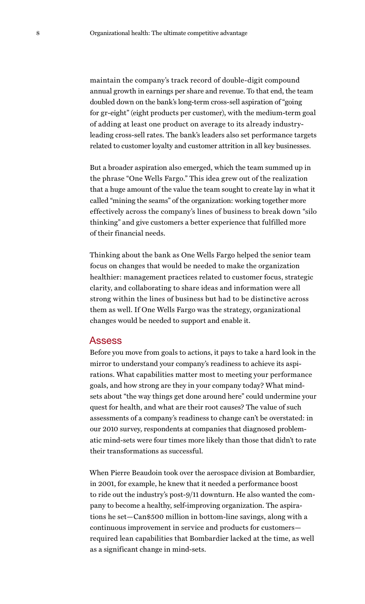maintain the company's track record of double-digit compound annual growth in earnings per share and revenue. To that end, the team doubled down on the bank's long-term cross-sell aspiration of "going for gr-eight" (eight products per customer), with the medium-term goal of adding at least one product on average to its already industryleading cross-sell rates. The bank's leaders also set performance targets related to customer loyalty and customer attrition in all key businesses.

But a broader aspiration also emerged, which the team summed up in the phrase "One Wells Fargo." This idea grew out of the realization that a huge amount of the value the team sought to create lay in what it called "mining the seams" of the organization: working together more effectively across the company's lines of business to break down "silo thinking" and give customers a better experience that fulfilled more of their financial needs.

Thinking about the bank as One Wells Fargo helped the senior team focus on changes that would be needed to make the organization healthier: management practices related to customer focus, strategic clarity, and collaborating to share ideas and information were all strong within the lines of business but had to be distinctive across them as well. If One Wells Fargo was the strategy, organizational changes would be needed to support and enable it.

#### Assess

Before you move from goals to actions, it pays to take a hard look in the mirror to understand your company's readiness to achieve its aspirations. What capabilities matter most to meeting your performance goals, and how strong are they in your company today? What mindsets about "the way things get done around here" could undermine your quest for health, and what are their root causes? The value of such assessments of a company's readiness to change can't be overstated: in our 2010 survey, respondents at companies that diagnosed problematic mind-sets were four times more likely than those that didn't to rate their transformations as successful.

When Pierre Beaudoin took over the aerospace division at Bombardier, in 2001, for example, he knew that it needed a performance boost to ride out the industry's post-9/11 downturn. He also wanted the company to become a healthy, self-improving organization. The aspirations he set—Can\$500 million in bottom-line savings, along with a continuous improvement in service and products for customers required lean capabilities that Bombardier lacked at the time, as well as a significant change in mind-sets.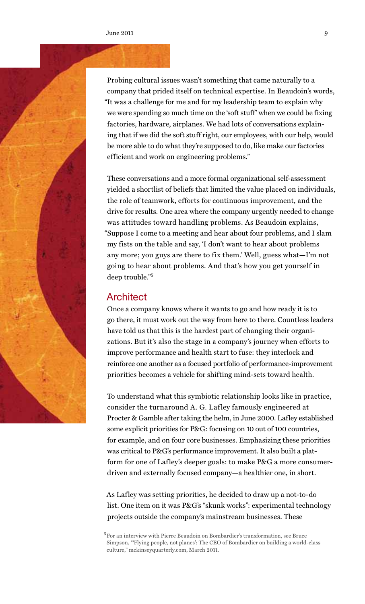

Probing cultural issues wasn't something that came naturally to a company that prided itself on technical expertise. In Beaudoin's words, "It was a challenge for me and for my leadership team to explain why we were spending so much time on the 'soft stuff' when we could be fixing factories, hardware, airplanes. We had lots of conversations explaining that if we did the soft stuff right, our employees, with our help, would be more able to do what they're supposed to do, like make our factories efficient and work on engineering problems."

These conversations and a more formal organizational self-assessment yielded a shortlist of beliefs that limited the value placed on individuals, the role of teamwork, efforts for continuous improvement, and the drive for results. One area where the company urgently needed to change was attitudes toward handling problems. As Beaudoin explains, "Suppose I come to a meeting and hear about four problems, and I slam my fists on the table and say, 'I don't want to hear about problems any more; you guys are there to fix them.' Well, guess what—I'm not going to hear about problems. And that's how you get yourself in deep trouble."5

#### **Architect**

Once a company knows where it wants to go and how ready it is to go there, it must work out the way from here to there. Countless leaders have told us that this is the hardest part of changing their organizations. But it's also the stage in a company's journey when efforts to improve performance and health start to fuse: they interlock and reinforce one another as a focused portfolio of performance-improvement priorities becomes a vehicle for shifting mind-sets toward health.

To understand what this symbiotic relationship looks like in practice, consider the turnaround A. G. Lafley famously engineered at Procter & Gamble after taking the helm, in June 2000. Lafley established some explicit priorities for P&G: focusing on 10 out of 100 countries, for example, and on four core businesses. Emphasizing these priorities was critical to P&G's performance improvement. It also built a platform for one of Lafley's deeper goals: to make P&G a more consumerdriven and externally focused company—a healthier one, in short.

As Lafley was setting priorities, he decided to draw up a not-to-do list. One item on it was P&G's "skunk works": experimental technology projects outside the company's mainstream businesses. These

<sup>5</sup> For an interview with Pierre Beaudoin on Bombardier's transformation, see Bruce Simpson, "'Flying people, not planes': The CEO of Bombardier on building a world-class culture," mckinseyquarterly.com, March 2011.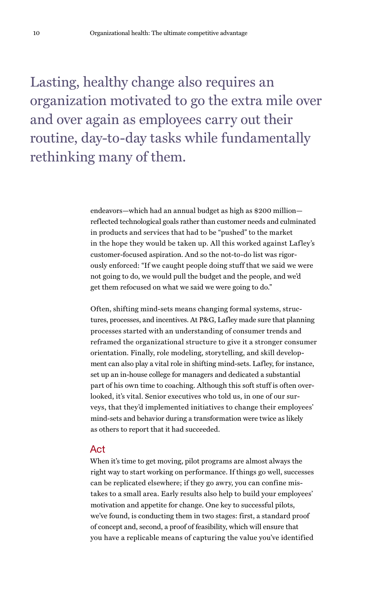Lasting, healthy change also requires an organization motivated to go the extra mile over and over again as employees carry out their routine, day-to-day tasks while fundamentally rethinking many of them.

> endeavors—which had an annual budget as high as \$200 million reflected technological goals rather than customer needs and culminated in products and services that had to be "pushed" to the market in the hope they would be taken up. All this worked against Lafley's customer-focused aspiration. And so the not-to-do list was rigorously enforced: "If we caught people doing stuff that we said we were not going to do, we would pull the budget and the people, and we'd get them refocused on what we said we were going to do."

> Often, shifting mind-sets means changing formal systems, structures, processes, and incentives. At P&G, Lafley made sure that planning processes started with an understanding of consumer trends and reframed the organizational structure to give it a stronger consumer orientation. Finally, role modeling, storytelling, and skill development can also play a vital role in shifting mind-sets. Lafley, for instance, set up an in-house college for managers and dedicated a substantial part of his own time to coaching. Although this soft stuff is often overlooked, it's vital. Senior executives who told us, in one of our surveys, that they'd implemented initiatives to change their employees' mind-sets and behavior during a transformation were twice as likely as others to report that it had succeeded.

#### Act

When it's time to get moving, pilot programs are almost always the right way to start working on performance. If things go well, successes can be replicated elsewhere; if they go awry, you can confine mistakes to a small area. Early results also help to build your employees' motivation and appetite for change. One key to successful pilots, we've found, is conducting them in two stages: first, a standard proof of concept and, second, a proof of feasibility, which will ensure that you have a replicable means of capturing the value you've identified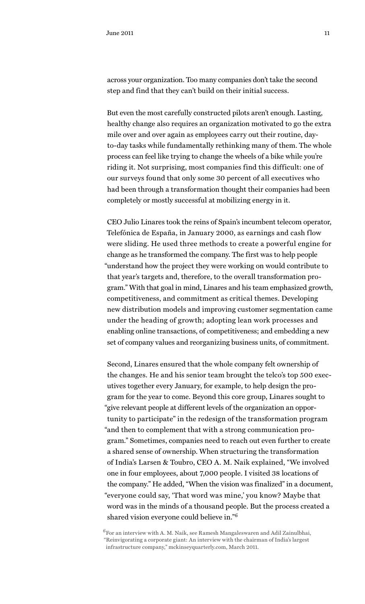across your organization. Too many companies don't take the second step and find that they can't build on their initial success.

But even the most carefully constructed pilots aren't enough. Lasting, healthy change also requires an organization motivated to go the extra mile over and over again as employees carry out their routine, dayto-day tasks while fundamentally rethinking many of them. The whole process can feel like trying to change the wheels of a bike while you're riding it. Not surprising, most companies find this difficult: one of our surveys found that only some 30 percent of all executives who had been through a transformation thought their companies had been completely or mostly successful at mobilizing energy in it.

CEO Julio Linares took the reins of Spain's incumbent telecom operator, Telefónica de España, in January 2000, as earnings and cash flow were sliding. He used three methods to create a powerful engine for change as he transformed the company. The first was to help people "understand how the project they were working on would contribute to that year's targets and, therefore, to the overall transformation program." With that goal in mind, Linares and his team emphasized growth, competitiveness, and commitment as critical themes. Developing new distribution models and improving customer segmentation came under the heading of growth; adopting lean work processes and enabling online transactions, of competitiveness; and embedding a new set of company values and reorganizing business units, of commitment.

Second, Linares ensured that the whole company felt ownership of the changes. He and his senior team brought the telco's top 500 executives together every January, for example, to help design the program for the year to come. Beyond this core group, Linares sought to "give relevant people at different levels of the organization an opportunity to participate" in the redesign of the transformation program "and then to complement that with a strong communication program." Sometimes, companies need to reach out even further to create a shared sense of ownership. When structuring the transformation of India's Larsen & Toubro, CEO A. M. Naik explained, "We involved one in four employees, about 7,000 people. I visited 38 locations of the company." He added, "When the vision was finalized" in a document, "everyone could say, 'That word was mine,' you know? Maybe that word was in the minds of a thousand people. But the process created a shared vision everyone could believe in."<sup>6</sup>

 $^6\rm{For}$  an interview with A. M. Naik, see Ramesh Mangaleswaren and Adil Zainulbhai, "Reinvigorating a corporate giant: An interview with the chairman of India's largest infrastructure company," mckinseyquarterly.com, March 2011.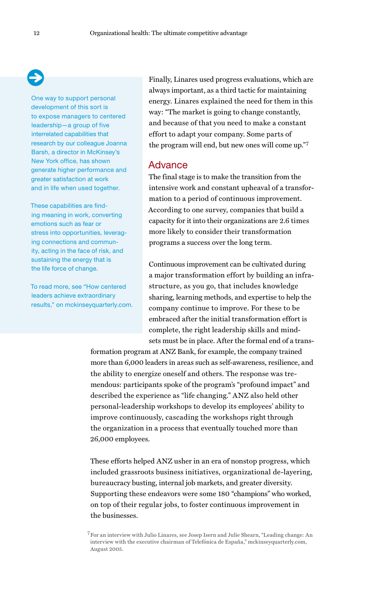One way to support personal development of this sort is to expose managers to centered leadership—a group of five interrelated capabilities that research by our colleague Joanna Barsh, a director in McKinsey's New York office, has shown generate higher performance and greater satisfaction at work and in life when used together.

These capabilities are finding meaning in work, converting emotions such as fear or stress into opportunities, leveraging connections and community, acting in the face of risk, and sustaining the energy that is the life force of change.

To read more, see "How centered leaders achieve extraordinary results," on mckinseyquarterly.com. Finally, Linares used progress evaluations, which are always important, as a third tactic for maintaining energy. Linares explained the need for them in this way: "The market is going to change constantly, and because of that you need to make a constant effort to adapt your company. Some parts of the program will end, but new ones will come up."7

#### Advance

The final stage is to make the transition from the intensive work and constant upheaval of a transformation to a period of continuous improvement. According to one survey, companies that build a capacity for it into their organizations are 2.6 times more likely to consider their transformation programs a success over the long term.

Continuous improvement can be cultivated during a major transformation effort by building an infrastructure, as you go, that includes knowledge sharing, learning methods, and expertise to help the company continue to improve. For these to be embraced after the initial transformation effort is complete, the right leadership skills and mindsets must be in place. After the formal end of a trans-

formation program at ANZ Bank, for example, the company trained more than 6,000 leaders in areas such as self-awareness, resilience, and the ability to energize oneself and others. The response was tremendous: participants spoke of the program's "profound impact" and described the experience as "life changing." ANZ also held other personal-leadership workshops to develop its employees' ability to improve continuously, cascading the workshops right through the organization in a process that eventually touched more than 26,000 employees.

These efforts helped ANZ usher in an era of nonstop progress, which included grassroots business initiatives, organizational de-layering, bureaucracy busting, internal job markets, and greater diversity. Supporting these endeavors were some 180 "champions" who worked, on top of their regular jobs, to foster continuous improvement in the businesses.

<sup>&</sup>lt;sup>7</sup> For an interview with Julio Linares, see Josep Isern and Julie Shearn, "Leading change: An interview with the executive chairman of Telefónica de España," mckinseyquarterly.com, August 2005.